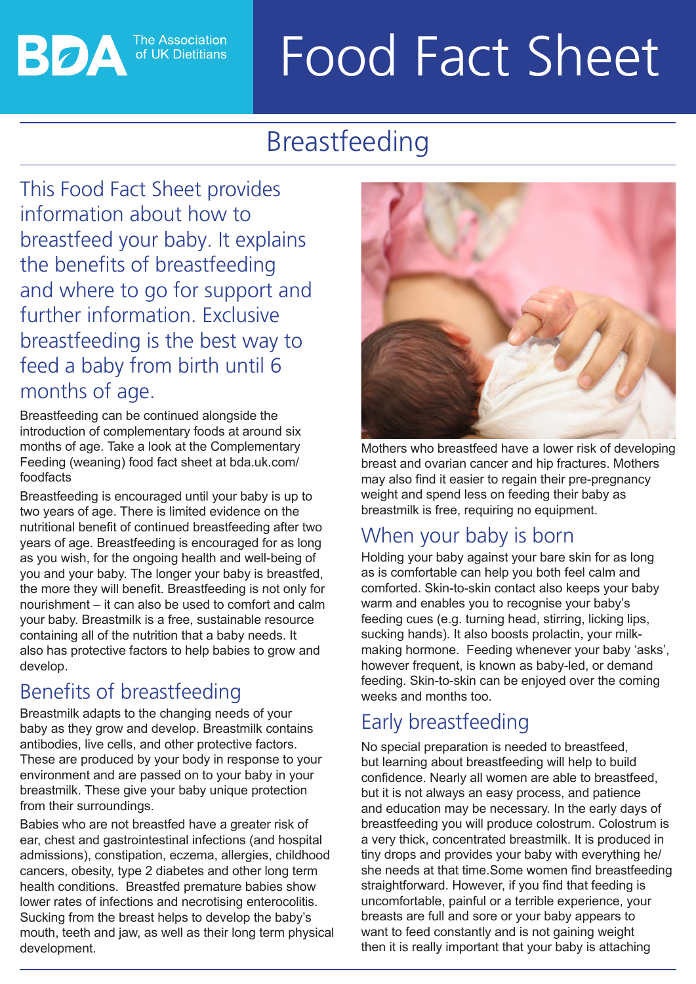# Food Fact Sheet

## Breastfeeding

This Food Fact Sheet provides information about how to breastfeed your baby. It explains the benefits of breastfeeding and where to go for support and further information. Exclusive breastfeeding is the best way to feed a baby from birth until 6 months of age.

**The Association** of UK Dietitians

Breastfeeding can be continued alongside the introduction of complementary foods at around six months of age. Take a look at the Complementary Feeding (weaning) food fact sheet at bda.uk.com/ foodfacts

Breastfeeding is encouraged until your baby is up to two years of age. There is limited evidence on the nutritional benefit of continued breastfeeding after two years of age. Breastfeeding is encouraged for as long as you wish, for the ongoing health and well-being of you and your baby. The longer your baby is breastfed, the more they will benefit. Breastfeeding is not only for nourishment – it can also be used to comfort and calm your baby. Breastmilk is a free, sustainable resource containing all of the nutrition that a baby needs. It also has protective factors to help babies to grow and develop.

## Benefits of breastfeeding

Breastmilk adapts to the changing needs of your baby as they grow and develop. Breastmilk contains antibodies, live cells, and other protective factors. These are produced by your body in response to your environment and are passed on to your baby in your breastmilk. These give your baby unique protection from their surroundings.

Babies who are not breastfed have a greater risk of ear, chest and gastrointestinal infections (and hospital admissions), constipation, eczema, allergies, childhood cancers, obesity, type 2 diabetes and other long term health conditions. Breastfed premature babies show lower rates of infections and necrotising enterocolitis. Sucking from the breast helps to develop the baby's mouth, teeth and jaw, as well as their long term physical development.



Mothers who breastfeed have a lower risk of developing breast and ovarian cancer and hip fractures. Mothers may also find it easier to regain their pre-pregnancy weight and spend less on feeding their baby as breastmilk is free, requiring no equipment.

#### When your baby is born

Holding your baby against your bare skin for as long as is comfortable can help you both feel calm and comforted. Skin-to-skin contact also keeps your baby warm and enables you to recognise your baby's feeding cues (e.g. turning head, stirring, licking lips, sucking hands). It also boosts prolactin, your milkmaking hormone. Feeding whenever your baby 'asks', however frequent, is known as baby-led, or demand feeding. Skin-to-skin can be enjoyed over the coming weeks and months too.

## Early breastfeeding

No special preparation is needed to breastfeed, but learning about breastfeeding will help to build confidence. Nearly all women are able to breastfeed, but it is not always an easy process, and patience and education may be necessary. In the early days of breastfeeding you will produce colostrum. Colostrum is a very thick, concentrated breastmilk. It is produced in tiny drops and provides your baby with everything he/ she needs at that time.Some women find breastfeeding straightforward. However, if you find that feeding is uncomfortable, painful or a terrible experience, your breasts are full and sore or your baby appears to want to feed constantly and is not gaining weight then it is really important that your baby is attaching